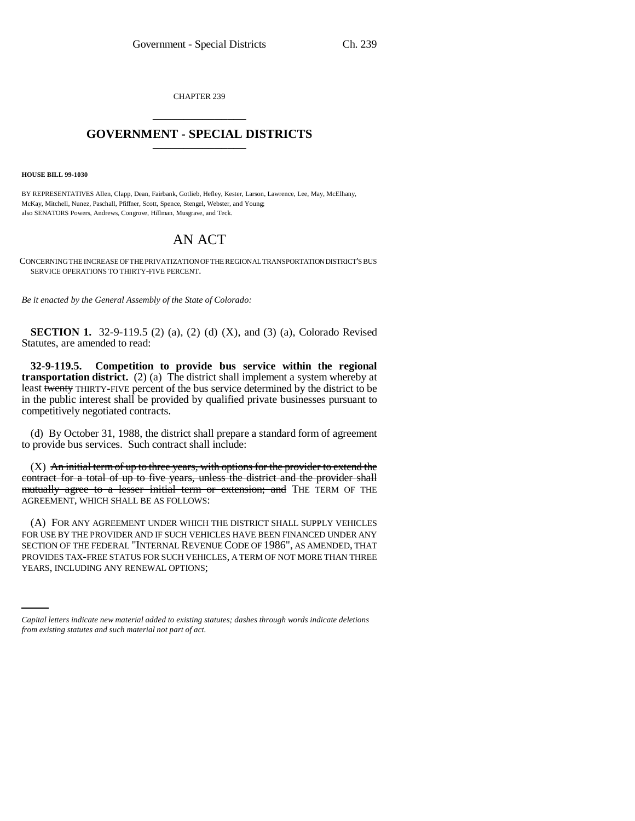CHAPTER 239 \_\_\_\_\_\_\_\_\_\_\_\_\_\_\_

## **GOVERNMENT - SPECIAL DISTRICTS** \_\_\_\_\_\_\_\_\_\_\_\_\_\_\_

**HOUSE BILL 99-1030** 

BY REPRESENTATIVES Allen, Clapp, Dean, Fairbank, Gotlieb, Hefley, Kester, Larson, Lawrence, Lee, May, McElhany, McKay, Mitchell, Nunez, Paschall, Pfiffner, Scott, Spence, Stengel, Webster, and Young; also SENATORS Powers, Andrews, Congrove, Hillman, Musgrave, and Teck.

## AN ACT

CONCERNING THE INCREASE OF THE PRIVATIZATION OF THE REGIONAL TRANSPORTATION DISTRICT'S BUS SERVICE OPERATIONS TO THIRTY-FIVE PERCENT.

*Be it enacted by the General Assembly of the State of Colorado:*

**SECTION 1.** 32-9-119.5 (2) (a), (2) (d) (X), and (3) (a), Colorado Revised Statutes, are amended to read:

**32-9-119.5. Competition to provide bus service within the regional transportation district.** (2) (a) The district shall implement a system whereby at least twenty THIRTY-FIVE percent of the bus service determined by the district to be in the public interest shall be provided by qualified private businesses pursuant to competitively negotiated contracts.

(d) By October 31, 1988, the district shall prepare a standard form of agreement to provide bus services. Such contract shall include:

 $(X)$  An initial term of up to three years, with options for the provider to extend the contract for a total of up to five years, unless the district and the provider shall mutually agree to a lesser initial term or extension; and THE TERM OF THE AGREEMENT, WHICH SHALL BE AS FOLLOWS:

PROVIDES TAX-FREE STATUS FOR SUCH VEHICLES, A TERM OF NOT MORE THAN THREE (A) FOR ANY AGREEMENT UNDER WHICH THE DISTRICT SHALL SUPPLY VEHICLES FOR USE BY THE PROVIDER AND IF SUCH VEHICLES HAVE BEEN FINANCED UNDER ANY SECTION OF THE FEDERAL "INTERNAL REVENUE CODE OF 1986", AS AMENDED, THAT YEARS, INCLUDING ANY RENEWAL OPTIONS;

*Capital letters indicate new material added to existing statutes; dashes through words indicate deletions from existing statutes and such material not part of act.*